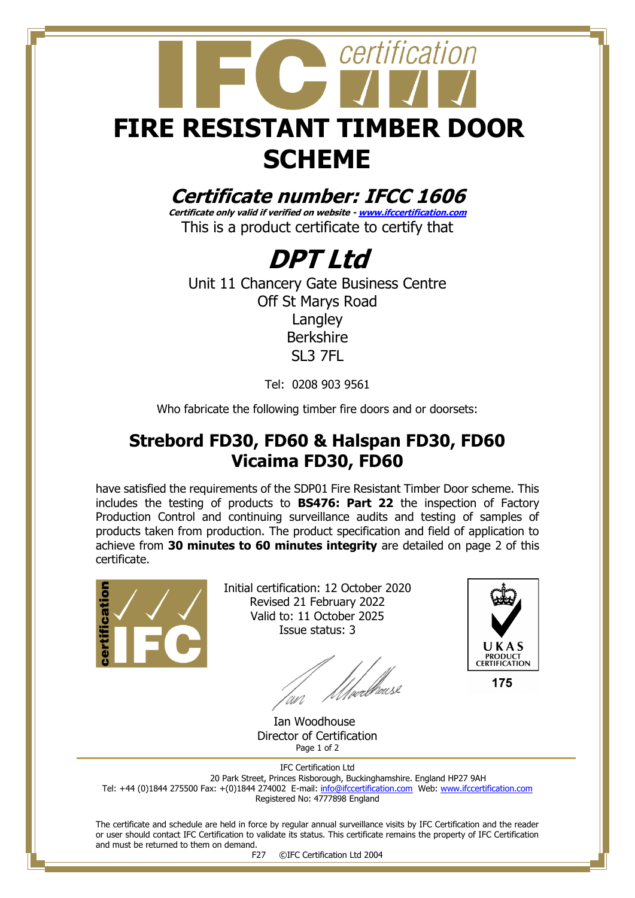

### **Certificate number: IFCC 1606**

**Certificate only valid if verified on website - [www.ifccertification.com](http://www.ifccertification.com/)** This is a product certificate to certify that

## **DPT Ltd**

Unit 11 Chancery Gate Business Centre Off St Marys Road Langley Berkshire SL3 7FL

Tel: 0208 903 9561

Who fabricate the following timber fire doors and or doorsets:

#### **Strebord FD30, FD60 & Halspan FD30, FD60 Vicaima FD30, FD60**

have satisfied the requirements of the SDP01 Fire Resistant Timber Door scheme. This includes the testing of products to **BS476: Part 22** the inspection of Factory Production Control and continuing surveillance audits and testing of samples of products taken from production. The product specification and field of application to achieve from **30 minutes to 60 minutes integrity** are detailed on page 2 of this certificate.



Initial certification: 12 October 2020 Revised 21 February 2022 Valid to: 11 October 2025 Issue status: 3

t<br>/µalkausl



175

 Ian Woodhouse Director of Certification Page 1 of 2

IFC Certification Ltd 20 Park Street, Princes Risborough, Buckinghamshire. England HP27 9AH Tel: +44 (0)1844 275500 Fax: +(0)1844 274002 E-mail[: info@ifccertification.com](mailto:info@ifccertification.com) Web: [www.ifccertification.com](http://www.ifccertification.com/) Registered No: 4777898 England

The certificate and schedule are held in force by regular annual surveillance visits by IFC Certification and the reader or user should contact IFC Certification to validate its status. This certificate remains the property of IFC Certification and must be returned to them on demand.

F27 ©IFC Certification Ltd 2004